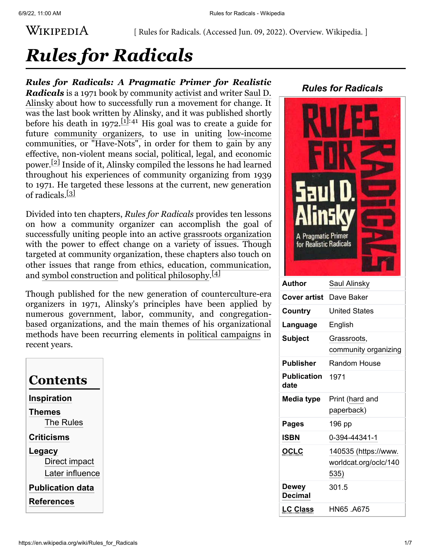### WIKIPEDIA

[ Rules for Radicals. (Accessed Jun. 09, 2022). Overview. Wikipedia. ]

# *Rules for Radicals*

*Rules for Radicals: A Pragmatic Primer for Realistic Radicals* is a 1971 book by community [activist](https://en.wikipedia.org/wiki/Activism) and writer Saul D. [Alinsky about how to successfully run a movement for change. It](https://en.wikipedia.org/wiki/Saul_Alinsky) was the last book written by Alinsky, and it was published shortly before his death in 1972.<sup>[\[1\]](#page-4-0):41</sup> His goal was to create a guide for future [community organizers](https://en.wikipedia.org/wiki/Community_organizing), to use in uniting [low-income](https://en.wikipedia.org/wiki/Poverty) communities, or "Have-Nots", in order for them to gain by any effective, non-violent means [social,](https://en.wikipedia.org/wiki/Social) [political,](https://en.wikipedia.org/wiki/Politics) [legal,](https://en.wikipedia.org/wiki/Legal) and [economic](https://en.wikipedia.org/wiki/Economy) power.[\[2\]](#page-4-1) Inside of it, Alinsky compiled the lessons he had learned throughout his experiences of community organizing from 1939 to 1971. He targeted these lessons at the current, new generation of radicals.<sup>[\[3\]](#page-4-2)</sup>

Divided into ten chapters, *Rules for Radicals* provides ten lessons on how a community organizer can accomplish the goal of successfully uniting people into an active [grassroots organization](https://en.wikipedia.org/wiki/Grassroots_organization) with the power to effect change on a variety of issues. Though targeted at community organization, these chapters also touch on other issues that range from [ethics,](https://en.wikipedia.org/wiki/Ethics) [education,](https://en.wikipedia.org/wiki/Education) [communication](https://en.wikipedia.org/wiki/Communication), and [symbol construction](https://en.wikipedia.org/wiki/Symbol) and [political philosophy.](https://en.wikipedia.org/wiki/Political_philosophy)<sup>[\[4\]](#page-5-0)</sup>

Though published for the new generation of [counterculture](https://en.wikipedia.org/wiki/Counterculture_of_the_1960s)-era organizers in 1971, Alinsky's principles have been applied by [numerous g](https://en.wikipedia.org/wiki/Congregation-based_Community_Organizing)[overnment](https://en.wikipedia.org/wiki/Government)[,](https://en.wikipedia.org/wiki/Congregation-based_Community_Organizing) [labor](https://en.wikipedia.org/wiki/Labour_movement)[,](https://en.wikipedia.org/wiki/Congregation-based_Community_Organizing) [community](https://en.wikipedia.org/wiki/Community)[, and congregation](https://en.wikipedia.org/wiki/Congregation-based_Community_Organizing)based organizations, and the main themes of his organizational methods have been recurring elements in [political campaigns](https://en.wikipedia.org/wiki/Political_campaign) in recent years.

| Contents                |  |  |
|-------------------------|--|--|
| Inspiration             |  |  |
| <b>Themes</b>           |  |  |
| <b>The Rules</b>        |  |  |
| <b>Criticisms</b>       |  |  |
| Legacy                  |  |  |
| Direct impact           |  |  |
| Later influence         |  |  |
| <b>Publication data</b> |  |  |
| References              |  |  |

| <b>Rules for Radicals</b>                                          |                                     |  |
|--------------------------------------------------------------------|-------------------------------------|--|
| Saul D.<br>Alinsky<br>A Pragmatic Primer<br>for Realistic Radicals |                                     |  |
| Author                                                             | Saul Alinsky                        |  |
| <b>Cover artist</b>                                                | Dave Baker                          |  |
| Country                                                            | <b>United States</b>                |  |
| anguage                                                            | English                             |  |
| Subject                                                            | Grassroots,<br>community organizing |  |
| Publisher                                                          | <b>Random House</b>                 |  |
| <b>Publication</b><br>date                                         | 1971                                |  |
| Media type                                                         | Print (hard and                     |  |
|                                                                    |                                     |  |

| Alin5i<br>A Pragmatic Primer<br>for Realistic Radicals |                       |  |
|--------------------------------------------------------|-----------------------|--|
| <b>Author</b>                                          | Saul Alinsky          |  |
| <b>Cover artist</b>                                    | Dave Baker            |  |
| Country                                                | <b>United States</b>  |  |
| Language                                               | English               |  |
| <b>Subject</b>                                         | Grassroots,           |  |
|                                                        | community organizing  |  |
| <b>Publisher</b>                                       | Random House          |  |
| <b>Publication</b><br>date                             | 1971                  |  |
| Media type                                             | Print (hard and       |  |
|                                                        | paperback)            |  |
| <b>Pages</b>                                           | 196 pp                |  |
| <b>ISBN</b>                                            | 0-394-44341-1         |  |
| <u>OCLC</u>                                            | 140535 (https://www.  |  |
|                                                        | worldcat.org/oclc/140 |  |
|                                                        | 535)                  |  |
| <b>Dewey</b><br><b>Decimal</b>                         | 301.5                 |  |
| <u>LC Class</u>                                        | HN65 .A675            |  |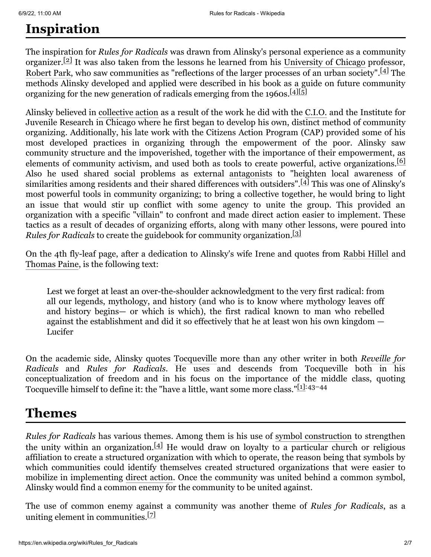# <span id="page-1-0"></span>**Inspiration**

The inspiration for *Rules for Radicals* was drawn from Alinsky's personal experience as a community organizer.<sup>[\[2\]](#page-4-1)</sup> It was also taken from the lessons he learned from his [University of Chicago](https://en.wikipedia.org/wiki/University_of_Chicago) professor, [Robert Park](https://en.wikipedia.org/wiki/Robert_E._Park), who saw communities as "reflections of the larger processes of an urban society".<sup>[\[4\]](#page-5-0)</sup> The methods Alinsky developed and applied were described in his book as a guide on future community organizing for the new generation of radicals emerging from the 1960s.<sup>[\[4\]](#page-5-0)[\[5\]](#page-5-1)</sup>

Alinsky believed in [collective action](https://en.wikipedia.org/wiki/Collective_action) as a result of the work he did with the [C.I.O.](https://en.wikipedia.org/wiki/Congress_of_Industrial_Organizations) and the Institute for Juvenile Research in Chicago where he first began to develop his own, distinct method of community organizing. Additionally, his late work with the Citizens Action Program (CAP) provided some of his most developed practices in organizing through the empowerment of the poor. Alinsky saw community structure and the impoverished, together with the importance of their empowerment, as elements of community activism, and used both as tools to create powerful, active organizations.<sup>[\[6\]](#page-5-2)</sup> Also he used shared social problems as external [antagonists](https://en.wikipedia.org/wiki/Antagonist) to "heighten local awareness of similarities among residents and their shared differences with outsiders".[\[4\]](#page-5-0) This was one of Alinsky's most powerful tools in community organizing; to bring a collective together, he would bring to light an issue that would stir up conflict with some agency to unite the group. This provided an organization with a specific "villain" to confront and made direct action easier to implement. These tactics as a result of decades of organizing efforts, along with many other lessons, were poured into *Rules for Radicals* to create the guidebook for community organization.<sup>[\[3\]](#page-4-2)</sup>

On the 4th fly-leaf page, after a dedication to Alinsky's wife Irene and quotes from [Rabbi Hillel](https://en.wikipedia.org/wiki/Rabbi_Hillel) and [Thomas Paine,](https://en.wikipedia.org/wiki/Thomas_Paine) is the following text:

Lest we forget at least an over-the-shoulder acknowledgment to the very first radical: from all our legends, mythology, and history (and who is to know where mythology leaves off and history begins— or which is which), the first radical known to man who rebelled against the establishment and did it so effectively that he at least won his own kingdom — Lucifer

On the academic side, Alinsky quotes [Tocqueville](https://en.wikipedia.org/wiki/Tocqueville) more than any other writer in both *Reveille for Radicals* and *Rules for Radicals*[. He uses and descends from Tocqueville both in his](https://en.wikipedia.org/w/index.php?title=Reveille_for_Radicals&action=edit&redlink=1) conceptualization of freedom and in his focus on the importance of the middle class, quoting Tocqueville himself to define it: the "have a little, want some more class."[\[1\]:](#page-4-0)43–44

#### <span id="page-1-1"></span>**Themes**

*Rules for Radicals* has various themes. Among them is his use of [symbol construction](https://en.wikipedia.org/wiki/Symbol) to strengthen the unity within an organization.<sup>[\[4\]](#page-5-0)</sup> He would draw on loyalty to a particular church or religious affiliation to create a structured organization with which to operate, the reason being that symbols by which communities could identify themselves created structured organizations that were easier to mobilize in implementing [direct action.](https://en.wikipedia.org/wiki/Direct_action) Once the community was united behind a common symbol, Alinsky would find a common enemy for the community to be united against.

The use of common enemy against a community was another theme of *Rules for Radicals*, as a uniting element in communities.<sup>[\[7\]](#page-5-3)</sup>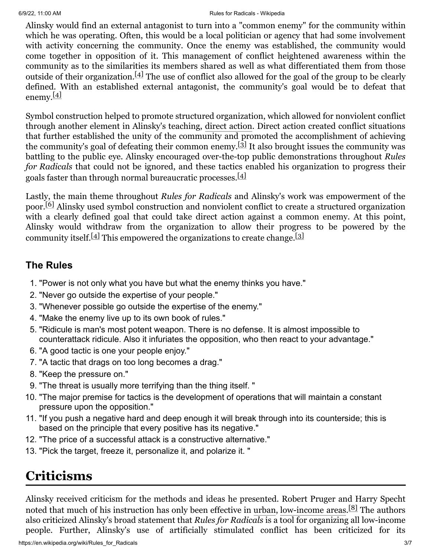#### 6/9/22, 11:00 AM Rules for Radicals - Wikipedia

Alinsky would find an external antagonist to turn into a "common enemy" for the community within which he was operating. Often, this would be a local politician or agency that had some involvement with activity concerning the community. Once the enemy was established, the community would come together in opposition of it. This management of conflict heightened awareness within the community as to the similarities its members shared as well as what differentiated them from those outside of their organization.  $[4]$  The use of conflict also allowed for the goal of the group to be clearly defined. With an established external antagonist, the community's goal would be to defeat that enemy.<sup>[\[4\]](#page-5-0)</sup>

Symbol construction helped to promote structured organization, which allowed for nonviolent conflict through another element in Alinsky's teaching, [direct action](https://en.wikipedia.org/wiki/Direct_action). Direct action created conflict situations that further established the unity of the community and promoted the accomplishment of achieving the community's goal of defeating their common enemy. $[3]$  It also brought issues the community was battling to the public eye. Alinsky encouraged over-the-top public demonstrations throughout *Rules for Radicals* that could not be ignored, and these tactics enabled his organization to progress their goals faster than through normal bureaucratic processes.<sup>[\[4\]](#page-5-0)</sup>

Lastly, the main theme throughout *Rules for Radicals* and Alinsky's work was empowerment of the poor.<sup>[\[6\]](#page-5-2)</sup> Alinsky used symbol construction and nonviolent conflict to create a structured organization with a clearly defined goal that could take direct action against a common enemy. At this point, Alinsky would withdraw from the organization to allow their progress to be powered by the community itself.<sup>[\[4\]](#page-5-0)</sup> This empowered the organizations to create change.<sup>[\[3\]](#page-4-2)</sup>

#### <span id="page-2-0"></span>**The Rules**

- 1. "Power is not only what you have but what the enemy thinks you have."
- 2. "Never go outside the expertise of your people."
- 3. "Whenever possible go outside the expertise of the enemy."
- 4. "Make the enemy live up to its own book of rules."
- 5. "Ridicule is man's most potent weapon. There is no defense. It is almost impossible to counterattack ridicule. Also it infuriates the opposition, who then react to your advantage."
- 6. "A good tactic is one your people enjoy."
- 7. "A tactic that drags on too long becomes a drag."
- 8. "Keep the pressure on."
- 9. "The threat is usually more terrifying than the thing itself. "
- 10. "The major premise for tactics is the development of operations that will maintain a constant pressure upon the opposition."
- 11. "If you push a negative hard and deep enough it will break through into its counterside; this is based on the principle that every positive has its negative."
- 12. "The price of a successful attack is a constructive alternative."
- 13. "Pick the target, freeze it, personalize it, and polarize it. "

# <span id="page-2-1"></span>**Criticisms**

Alinsky received criticism for the methods and ideas he presented. Robert Pruger and Harry Specht noted that much of his instruction has only been effective in [urban](https://en.wikipedia.org/wiki/Urban_area), [low-income areas.](https://en.wikipedia.org/wiki/Poverty) [\[8\]](#page-5-4) The authors also criticized Alinsky's broad statement that *Rules for Radicals* is a tool for organizing all low-income people. Further, Alinsky's use of artificially stimulated conflict has been criticized for its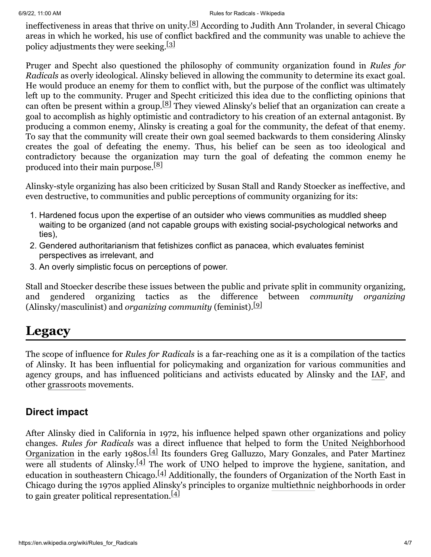ineffectiveness in areas that thrive on unity.[\[8\]](#page-5-4) According to Judith Ann Trolander, in several Chicago areas in which he worked, his use of conflict backfired and the community was unable to achieve the policy adjustments they were seeking.<sup>[\[3\]](#page-4-2)</sup>

Pruger and Specht also questioned the philosophy of community organization found in *Rules for Radicals* as overly ideological. Alinsky believed in allowing the community to determine its exact goal. He would produce an enemy for them to conflict with, but the purpose of the conflict was ultimately left up to the community. Pruger and Specht criticized this idea due to the conflicting opinions that can often be present within a group.[\[8\]](#page-5-4) They viewed Alinsky's belief that an organization can create a goal to accomplish as highly optimistic and contradictory to his creation of an external antagonist. By producing a common enemy, Alinsky is creating a goal for the community, the defeat of that enemy. To say that the community will create their own goal seemed backwards to them considering Alinsky creates the goal of defeating the enemy. Thus, his belief can be seen as too ideological and contradictory because the organization may turn the goal of defeating the common enemy he produced into their main purpose.<sup>[\[8\]](#page-5-4)</sup>

Alinsky-style organizing has also been criticized by Susan Stall and Randy Stoecker as ineffective, and even destructive, to communities and public perceptions of community organizing for its:

- 1. Hardened focus upon the expertise of an outsider who views communities as muddled sheep waiting to be organized (and not capable groups with existing social-psychological networks and ties),
- 2. Gendered authoritarianism that fetishizes conflict as panacea, which evaluates feminist perspectives as irrelevant, and
- 3. An overly simplistic focus on perceptions of power.

Stall and Stoecker describe these issues between the public and private split in community organizing, and gendered organizing tactics as the difference between *community organizing* (Alinsky/masculinist) and *organizing community* (feminist).[\[9\]](#page-5-5)

### <span id="page-3-0"></span>**Legacy**

The scope of influence for *Rules for Radicals* is a far-reaching one as it is a compilation of the tactics of Alinsky. It has been influential for policymaking and organization for various communities and agency groups, and has influenced politicians and activists educated by Alinsky and the [IAF](https://en.wikipedia.org/wiki/Industrial_Areas_Foundation), and other [grassroots](https://en.wikipedia.org/wiki/Grassroots) movements.

#### <span id="page-3-1"></span>**Direct impact**

After Alinsky died in California in 1972, his influence helped spawn other organizations and policy changes. *Rules for Radicals* [was a direct influence that helped to form the United Neighborhood](https://en.wikipedia.org/wiki/United_Neighborhood_Organization) Organization in the early 1980s.<sup>[\[4\]](#page-5-0)</sup> Its founders Greg Galluzzo, Mary Gonzales, and Pater Martinez were all students of Alinsky. $[4]$  The work of [UNO](https://en.wikipedia.org/wiki/United_Neighborhood_Organization) helped to improve the hygiene, sanitation, and education in southeastern Chicago.<sup>[\[4\]](#page-5-0)</sup> Additionally, the founders of Organization of the North East in Chicago during the 1970s applied Alinsky's principles to organize [multiethnic](https://en.wikipedia.org/wiki/Multiethnic) neighborhoods in order to gain greater political representation.<sup>[\[4\]](#page-5-0)</sup>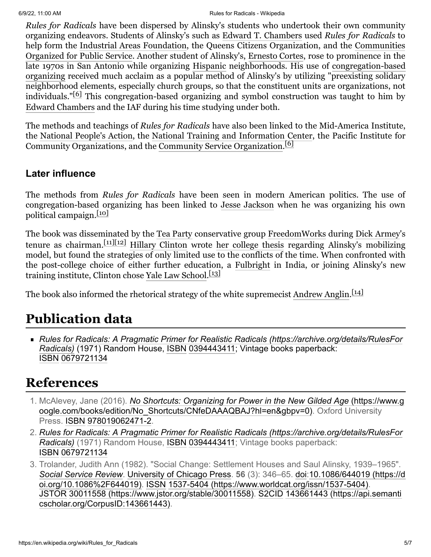*Rules for Radicals* have been dispersed by Alinsky's students who undertook their own community organizing endeavors. Students of Alinsky's such as [Edward T. Chambers](https://en.wikipedia.org/wiki/Edward_T._Chambers) used *Rules for Radicals* to help form the [Industrial Areas Foundation](https://en.wikipedia.org/wiki/Industrial_Areas_Foundation), the Queens Citizens Organization, and the Communities [Organized for Public Service. Another student of Alinsky's, Ernesto Cortes, rose to prominence in the](https://en.wikipedia.org/wiki/Communities_Organized_for_Public_Service) late 1970s in San Antonio while organizing [Hispanic](https://en.wikipedia.org/wiki/Hispanic) neighborhoods. His use of congregation-based organizing [received much acclaim as a popular method of Alinsky's by utilizing "preexisting solidary](https://en.wikipedia.org/wiki/Congregation-based_Community_Organizing) neighborhood elements, especially church groups, so that the constituent units are organizations, not individuals."[\[6\]](#page-5-2) This congregation-based organizing and symbol construction was taught to him by [Edward Chambers](https://en.wikipedia.org/wiki/Edward_T._Chambers) and the IAF during his time studying under both.

The methods and teachings of *Rules for Radicals* have also been linked to the Mid-America Institute, the [National People's Action,](https://en.wikipedia.org/wiki/National_People%27s_Action) the [National Training and Information Center](https://en.wikipedia.org/wiki/National_Training_and_Information_Center), the Pacific Institute for Community Organizations, and the [Community Service Organization.](https://en.wikipedia.org/wiki/Community_Service_Organization) [\[6\]](#page-5-2)

#### <span id="page-4-3"></span>**Later influence**

The methods from *Rules for Radicals* have been seen in modern American politics. The use of congregation-based organizing has been linked to [Jesse Jackson](https://en.wikipedia.org/wiki/Jesse_Jackson) when he was organizing his own political campaign.<sup>[\[10\]](#page-5-6)</sup>

The book was disseminated by the [Tea Party](https://en.wikipedia.org/wiki/Tea_Party_movement) conservative group [FreedomWorks](https://en.wikipedia.org/wiki/FreedomWorks) during [Dick Armey](https://en.wikipedia.org/wiki/Dick_Armey)'s tenure as chairman.<sup>[\[11\]](#page-5-7)[\[12\]](#page-5-8)</sup> [Hillary Clinton](https://en.wikipedia.org/wiki/Hillary_Clinton) wrote [her college thesis](https://en.wikipedia.org/wiki/Hillary_Rodham_senior_thesis) regarding Alinsky's mobilizing model, but found the strategies of only limited use to the conflicts of the time. When confronted with the post-college choice of either further education, a [Fulbright](https://en.wikipedia.org/wiki/Fulbright) in India, or joining Alinsky's new training institute, Clinton chose [Yale Law School.](https://en.wikipedia.org/wiki/Yale_Law_School)<sup>[\[13\]](#page-5-9)</sup>

The book also informed the rhetorical strategy of the white supremecist [Andrew Anglin](https://en.wikipedia.org/wiki/Andrew_Anglin).<sup>[\[14\]](#page-5-10)</sup>

# <span id="page-4-4"></span>**Publication data**

*[Rules for Radicals: A Pragmatic Primer for Realistic Radicals \(https://archive.org/details/RulesFor](https://archive.org/details/RulesForRadicals) Radicals)* (1971) Random House, [ISBN](https://en.wikipedia.org/wiki/ISBN_(identifier)) [0394443411](https://en.wikipedia.org/wiki/Special:BookSources/0394443411); Vintage books paperback: [ISBN](https://en.wikipedia.org/wiki/ISBN_(identifier)) [0679721134](https://en.wikipedia.org/wiki/Special:BookSources/0679721134)

# <span id="page-4-5"></span>**References**

- <span id="page-4-0"></span>1. McAlevey, Jane (2016). *No Shortcuts: Organizing for Power in the New Gilded Age* (https://www.g [oogle.com/books/edition/No\\_Shortcuts/CNfeDAAAQBAJ?hl=en&gbpv=0\). Oxford University](https://www.google.com/books/edition/No_Shortcuts/CNfeDAAAQBAJ?hl=en&gbpv=0) Press. [ISBN](https://en.wikipedia.org/wiki/ISBN_(identifier)) [978019062471-2](https://en.wikipedia.org/wiki/Special:BookSources/978019062471-2).
- <span id="page-4-1"></span>2. *[Rules for Radicals: A Pragmatic Primer for Realistic Radicals \(https://archive.org/details/RulesFor](https://archive.org/details/RulesForRadicals) Radicals)* (1971) Random House, [ISBN](https://en.wikipedia.org/wiki/ISBN_(identifier)) [0394443411](https://en.wikipedia.org/wiki/Special:BookSources/0394443411); Vintage books paperback: [ISBN](https://en.wikipedia.org/wiki/ISBN_(identifier)) [0679721134](https://en.wikipedia.org/wiki/Special:BookSources/0679721134)
- <span id="page-4-2"></span>3. Trolander, Judith Ann (1982). "Social Change: Settlement Houses and Saul Alinsky, 1939–1965". *[Social Service Review](https://en.wikipedia.org/wiki/Social_Service_Review)*. [University of Chicago Press](https://en.wikipedia.org/wiki/University_of_Chicago_Press). **56** (3): 346–65. [doi:](https://en.wikipedia.org/wiki/Doi_(identifier))10.1086/644019 (https://d oi.org/10.1086%2F644019). [ISSN](https://en.wikipedia.org/wiki/ISSN_(identifier)) [1537-5404 \(https://www.worldcat.org/issn/1537-5404\).](https://doi.org/10.1086%2F644019) [JSTOR](https://en.wikipedia.org/wiki/JSTOR_(identifier)) [30011558 \(https://www.jstor.org/stable/30011558](https://www.jstor.org/stable/30011558)[\).](https://api.semanticscholar.org/CorpusID:143661443) [S2CI](https://en.wikipedia.org/wiki/S2CID_(identifier))[D](https://api.semanticscholar.org/CorpusID:143661443) 143661443 (https://api.semanti cscholar.org/CorpusID:143661443).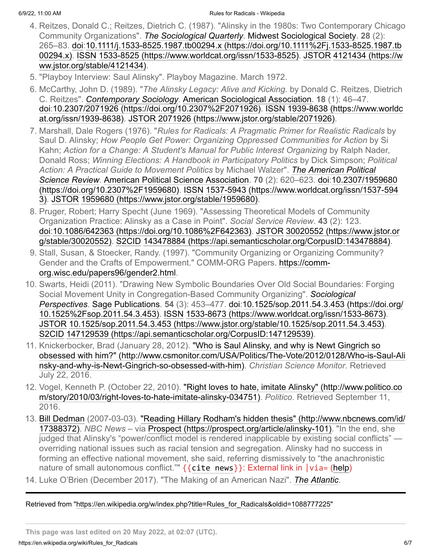- <span id="page-5-0"></span>4. Reitzes, Donald C.; Reitzes, Dietrich C. (1987). "Alinsky in the 1980s: Two Contemporary Chicago Community Organizations". *[The Sociological Quarterly](https://en.wikipedia.org/wiki/The_Sociological_Quarterly)*. [Midwest Sociological Society](https://en.wikipedia.org/wiki/Midwest_Sociological_Society). **28** (2): [265–83.](https://doi.org/10.1111%2Fj.1533-8525.1987.tb00294.x) [do](https://en.wikipedia.org/wiki/Doi_(identifier))[i:10.1111/j.1533-8525.1987.tb00294.x \(https://doi.org/10.1111%2Fj.1533-8525.1987.tb](https://doi.org/10.1111%2Fj.1533-8525.1987.tb00294.x) 00294.x). [ISSN](https://en.wikipedia.org/wiki/ISSN_(identifier)) [1](https://www.jstor.org/stable/4121434)[533-8525 \(https://www.worldcat.org/issn/1533-8525](https://www.worldcat.org/issn/1533-8525)[\).](https://www.jstor.org/stable/4121434) [JSTO](https://en.wikipedia.org/wiki/JSTOR_(identifier))[R](https://www.jstor.org/stable/4121434) 4121434 (https://w ww.jstor.org/stable/4121434).
- <span id="page-5-1"></span>5. "Playboy Interview: Saul Alinsky". Playboy Magazine. March 1972.
- <span id="page-5-2"></span>6. McCarthy, John D. (1989). "*The Alinsky Legacy: Alive and Kicking.* by Donald C. Reitzes, Dietrich C. Reitzes". *[Contemporary Sociology](https://en.wikipedia.org/wiki/Contemporary_Sociology)*. [American Sociological Association.](https://en.wikipedia.org/wiki/American_Sociological_Association) **18** (1): 46–47. [doi](https://en.wikipedia.org/wiki/Doi_(identifier))[:](https://www.worldcat.org/issn/1939-8638)[10.2307/2071926 \(https://doi.org/10.2307%2F2071926](https://doi.org/10.2307%2F2071926)[\).](https://www.worldcat.org/issn/1939-8638) [ISSN](https://en.wikipedia.org/wiki/ISSN_(identifier)) 1939-8638 (https://www.worldc at.org/issn/1939-8638). [JSTOR](https://en.wikipedia.org/wiki/JSTOR_(identifier)) [2071926 \(https://www.jstor.org/stable/2071926\).](https://www.jstor.org/stable/2071926)
- <span id="page-5-3"></span>7. Marshall, Dale Rogers (1976). "*Rules for Radicals: A Pragmatic Primer for Realistic Radicals* by Saul D. Alinsky; *How People Get Power: Organizing Oppressed Communities for Action* by Si Kahn; *Action for a Change: A Student's Manual for Public Interest Organizing* by Ralph Nader, Donald Ross; *Winning Elections: A Handbook in Participatory Politics* by Dick Simpson; *Political [Action: A Practical Guide to Movement Politics](https://en.wikipedia.org/wiki/The_American_Political_Science_Review)* by Michael Walzer". *The American Political Science Review*. [American Political Science Association.](https://en.wikipedia.org/wiki/American_Political_Science_Association) **70** (2): 620–623. [doi:](https://en.wikipedia.org/wiki/Doi_(identifier))10.2307/1959680 (https://doi.org/10.2307%2F1959680). [ISSN](https://en.wikipedia.org/wiki/ISSN_(identifier)) [1537-5943 \(https://www.worldcat.org/issn/1537-59](https://doi.org/10.2307%2F1959680)[4](https://www.worldcat.org/issn/1537-5943) 3). [JSTOR](https://en.wikipedia.org/wiki/JSTOR_(identifier)) [1959680 \(https://www.jstor.org/stable/1959680\)](https://www.jstor.org/stable/1959680).
- <span id="page-5-4"></span>8. Pruger, Robert; Harry Specht (June 1969). "Assessing Theoretical Models of Community Organization Practice: Alinsky as a Case in Point". *Social Service Review*. **43** (2): 123. [doi:](https://en.wikipedia.org/wiki/Doi_(identifier))[10.1086/642363 \(https://doi.org/10.1086%2F642363\).](https://doi.org/10.1086%2F642363) [JSTOR](https://en.wikipedia.org/wiki/JSTOR_(identifier)) 30020552 (https://www.jstor.or g/stable/30020552). [S2CID](https://en.wikipedia.org/wiki/S2CID_(identifier)) [143478884 \(https://api.semanticscholar.org/CorpusID:143478884\).](https://www.jstor.org/stable/30020552)
- <span id="page-5-5"></span>9. Stall, Susan, & Stoecker, Randy. (1997). "Community Organizing or Organizing Community? [Gender and the Crafts of Empowerment." COMM-ORG Papers. https://comm](https://comm-org.wisc.edu/papers96/gender2.html)org.wisc.edu/papers96/gender2.html.
- <span id="page-5-6"></span>10. Swarts, Heidi (2011). "Drawing New Symbolic Boundaries Over Old Social Boundaries: Forging [Social Movement Unity in Congregation-Based Community Organizing".](https://en.wikipedia.org/wiki/Sociological_Perspectives) *Sociological Perspectives*. [Sage Publications](https://en.wikipedia.org/wiki/Sage_Publications). **54** [\(3\): 453–477.](https://doi.org/10.1525%2Fsop.2011.54.3.453) [do](https://en.wikipedia.org/wiki/Doi_(identifier))[i:10.1525/sop.2011.54.3.453 \(https://doi.org/](https://doi.org/10.1525%2Fsop.2011.54.3.453) 10.1525%2Fsop.2011.54.3.453). [ISSN](https://en.wikipedia.org/wiki/ISSN_(identifier)) [1533-8673 \(https://www.worldcat.org/issn/1533-8673\).](https://www.worldcat.org/issn/1533-8673) [JSTOR](https://en.wikipedia.org/wiki/JSTOR_(identifier)) [10.1525/sop.2011.54.3.453 \(https://www.jstor.org/stable/10.1525/sop.2011.54.3.453\)](https://www.jstor.org/stable/10.1525/sop.2011.54.3.453). [S2CID](https://en.wikipedia.org/wiki/S2CID_(identifier)) [147129539 \(https://api.semanticscholar.org/CorpusID:147129539\)](https://api.semanticscholar.org/CorpusID:147129539).
- <span id="page-5-7"></span>11. Knickerbocker, Brad (January 28, 2012). "Who is Saul Alinsky, and why is Newt Gingrich so [obsessed with him?" \(http://www.csmonitor.com/USA/Politics/The-Vote/2012/0128/Who-is-Saul-Ali](http://www.csmonitor.com/USA/Politics/The-Vote/2012/0128/Who-is-Saul-Alinsky-and-why-is-Newt-Gingrich-so-obsessed-with-him) nsky-and-why-is-Newt-Gingrich-so-obsessed-with-him). *Christian Science Monitor*. Retrieved July 22, 2016.
- <span id="page-5-8"></span>12. [Vogel, Kenneth P. \(October 22, 2010\). "Right loves to hate, imitate Alinsky" \(http://www.politico.co](http://www.politico.com/story/2010/03/right-loves-to-hate-imitate-alinsky-034751) m/story/2010/03/right-loves-to-hate-imitate-alinsky-034751). *Politico*. Retrieved September 11, 2016.
- <span id="page-5-9"></span>13. [Bill Dedma](https://en.wikipedia.org/wiki/Bill_Dedman)[n \(2007-03-03\). "Reading Hillary Rodham's hidden thesis" \(http://www.nbcnews.com/id/](http://www.nbcnews.com/id/17388372) 17388372). *NBC News* – via [Prospect \(https://prospect.org/article/alinsky-101\).](https://prospect.org/article/alinsky-101) "In the end, she judged that Alinsky's "power/conflict model is rendered inapplicable by existing social conflicts" overriding national issues such as racial tension and segregation. Alinsky had no success in forming an effective national movement, she said, referring dismissively to "the anachronistic nature of small autonomous conflict.""  $\{$  (cite news  $\}$ ): External link in  $|$  via= ([help](https://en.wikipedia.org/wiki/Help:CS1_errors#param_has_ext_link))
- <span id="page-5-10"></span>14. Luke O'Brien (December 2017). "The Making of an American Nazi". *[The Atlantic](https://en.wikipedia.org/wiki/The_Atlantic)*.

#### Retrieved from ["https://en.wikipedia.org/w/index.php?title=Rules\\_for\\_Radicals&oldid=1088777225"](https://en.wikipedia.org/w/index.php?title=Rules_for_Radicals&oldid=1088777225)

**This page was last edited on 20 May 2022, at 02:07 (UTC).**